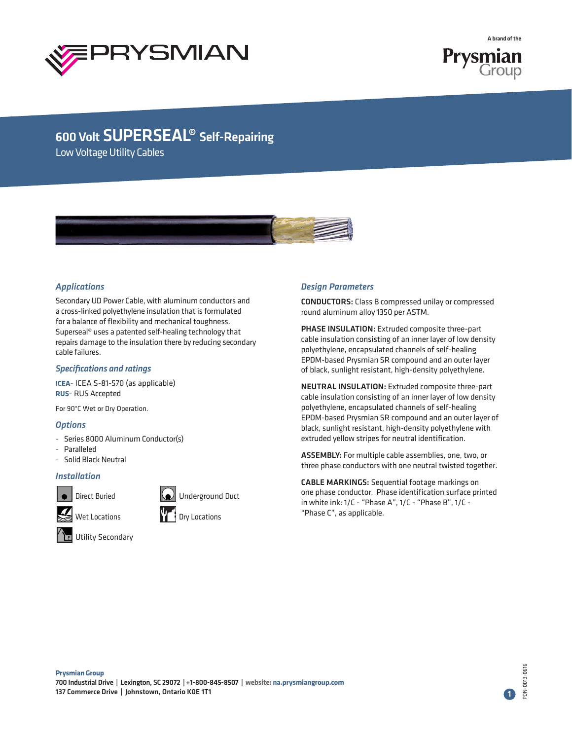



Low Voltage Utility Cables



## *Applications*

Secondary UD Power Cable, with aluminum conductors and a cross-linked polyethylene insulation that is formulated for a balance of flexibility and mechanical toughness. Superseal® uses a patented self-healing technology that repairs damage to the insulation there by reducing secondary cable failures.

### *Specifications and ratings*

**ICEA**- ICEA S-81-570 (as applicable) **RUS**- RUS Accepted

For 90°C Wet or Dry Operation.

### *Options*

- Series 8000 Aluminum Conductor(s)
- **Paralleled**
- Solid Black Neutral

### *Installation*



Direct Buried **Container Container** Underground Duct







## *Design Parameters*

CONDUCTORS: Class B compressed unilay or compressed round aluminum alloy 1350 per ASTM.

PHASE INSULATION: Extruded composite three-part cable insulation consisting of an inner layer of low density polyethylene, encapsulated channels of self-healing EPDM-based Prysmian SR compound and an outer layer of black, sunlight resistant, high-density polyethylene.

NEUTRAL INSULATION: Extruded composite three-part cable insulation consisting of an inner layer of low density polyethylene, encapsulated channels of self-healing EPDM-based Prysmian SR compound and an outer layer of black, sunlight resistant, high-density polyethylene with extruded yellow stripes for neutral identification.

ASSEMBLY: For multiple cable assemblies, one, two, or three phase conductors with one neutral twisted together.

CABLE MARKINGS: Sequential footage markings on one phase conductor. Phase identification surface printed in white ink: 1/C - "Phase A", 1/C - "Phase B", 1/C - "Phase C", as applicable.

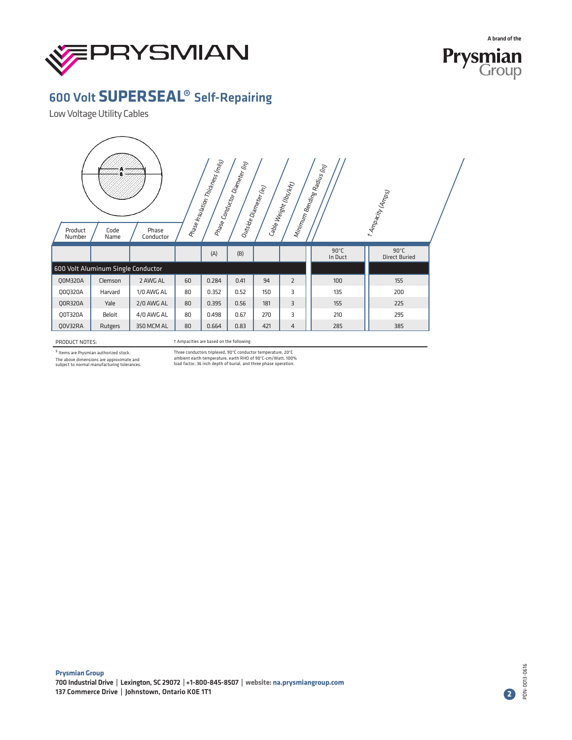



Low Voltage Utility Cables

| Phase Insulation Thickness (miles)<br>Phase Conductor Diameter (h)<br>Minimum Bending Radius (in)<br>Cable Weight (lbs <sub>/kft)</sub><br>Outside Diameter (in)<br>* Ampacity (Amps)<br>Product<br>Code<br>Phase<br>Conductor<br>Number<br>Name |                                    |            |    |       |      |     |                |                           |                                        |  |  |
|--------------------------------------------------------------------------------------------------------------------------------------------------------------------------------------------------------------------------------------------------|------------------------------------|------------|----|-------|------|-----|----------------|---------------------------|----------------------------------------|--|--|
|                                                                                                                                                                                                                                                  |                                    |            |    | (A)   | (B)  |     |                | $90^{\circ}$ C<br>In Duct | $90^{\circ}$ C<br><b>Direct Buried</b> |  |  |
|                                                                                                                                                                                                                                                  | 600 Volt Aluminum Single Conductor |            |    |       |      |     |                |                           |                                        |  |  |
| <b>Q0M320A</b>                                                                                                                                                                                                                                   | Clemson                            | 2 AWG AL   | 60 | 0.284 | 0.41 | 94  | $\overline{2}$ | 100                       | 155                                    |  |  |
| Q0Q320A                                                                                                                                                                                                                                          | Harvard                            | 1/0 AWG AL | 80 | 0.352 | 0.52 | 150 | 3              | 135                       | 200                                    |  |  |
| <b>Q0R320A</b>                                                                                                                                                                                                                                   | Yale                               | 2/0 AWG AL | 80 | 0.395 | 0.56 | 181 | 3              | 155                       | 225                                    |  |  |
| Q0T320A                                                                                                                                                                                                                                          | <b>Beloit</b>                      | 4/0 AWG AL | 80 | 0.498 | 0.67 | 270 | 3              | 210                       | 295                                    |  |  |
| Q0V32RA                                                                                                                                                                                                                                          | Rutgers                            | 350 MCM AL | 80 | 0.664 | 0.83 | 421 | $\overline{4}$ | 285                       | 385                                    |  |  |

PRODUCT NOTES:

† Ampacities are based on the following:

s Items are Prysmian authorized stock.

The above dimensions are approximate and subject to normal manufacturing tolerances.

Three conductors triplexed, 90°C conductor temperature, 20°C ambient earth temperature, earth RHO of 90°C-cm/Watt, 100% load factor, 36 inch depth of burial, and three phase operation.

PDN-0013-0616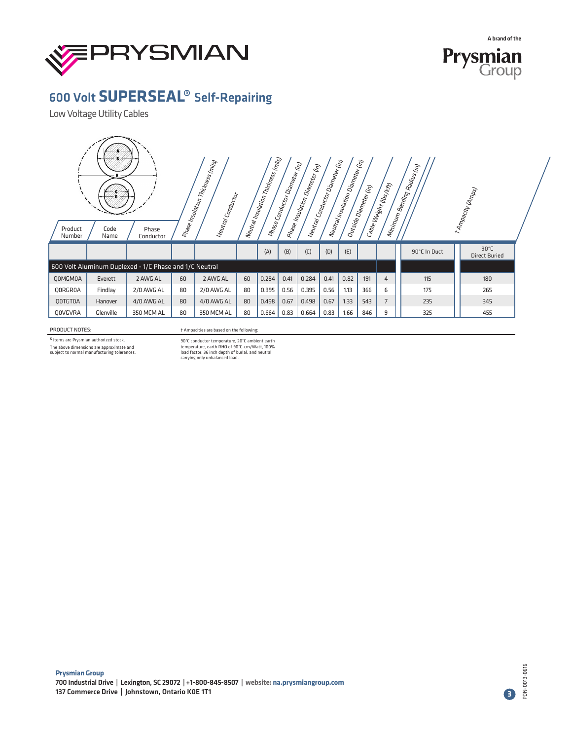



Low Voltage Utility Cables

| Product<br>Number | Code<br>Name | Phase<br>Conductor                                     |    | Prase Insulation Thickness (m <sub>ilis)</sub><br> <br>Neutral Conductor |    | $\Big  \, \hbar \omega_{R\bar{2}l} \eta_{\bar{3}l} \omega_{\bar{3}l} \eta_{\bar{1}l} \eta_{\bar{1}l} \chi_{\bar{1} \eta_{\bar{2} \bar{3}}}\nonumber\\ \hbar \omega_{\bar{1}} \omega_{\bar{2}l} \eta_{\bar{2}l} \omega_{\bar{3}l} \eta_{\bar{1}l} \chi_{\bar{3}l} \nonumber\\$ | Priase Conductor Diameter (in) | Prase Insulation Diameter (in)<br> | $\big  h_{\alpha_1 \alpha_2} \big  c_{\alpha_1 \alpha_2} \big  c_{\alpha_2 \alpha_3} \big  c_{\alpha_3 \alpha_4} \big  c_{\alpha_4 \alpha_5} \big $ | $\big  \Lambda_{l^2 \mathcal{U}_{l^2 \mathcal{U}}/\mathcal{I}_{l^2 \mathcal{U}_{l^2 \mathcal{U}_{l^2 \mathcal{U}_{l^2 \mathcal{U}_{l^2 \mathcal{U}_{l^2 \mathcal{U}_{l^2 \mathcal{U}_{l^2 \mathcal{U}_{l^2 \mathcal{U}_{l^2 \mathcal{U}_{l^2 \mathcal{U}_{l^2 \mathcal{U}_{l^2 \mathcal{U}_{l^2 \mathcal{U}_{l^2 \mathcal{U}_{l^2 \mathcal{U}_{l^2 \mathcal{U}_{l^2 \mathcal{U}_{l^2 \mathcal{U}_{l^2 \mathcal{U}_{l^2 \mathcal{U}_{l$ | Outside Diameter (h) | Cable Weight (lbs <sub>/Kft)</sub> | Minimum Bending Radius (in) | * Ampacity (Amps)                      |  |
|-------------------|--------------|--------------------------------------------------------|----|--------------------------------------------------------------------------|----|-------------------------------------------------------------------------------------------------------------------------------------------------------------------------------------------------------------------------------------------------------------------------------|--------------------------------|------------------------------------|-----------------------------------------------------------------------------------------------------------------------------------------------------|----------------------------------------------------------------------------------------------------------------------------------------------------------------------------------------------------------------------------------------------------------------------------------------------------------------------------------------------------------------------------------------------------------------------------------------|----------------------|------------------------------------|-----------------------------|----------------------------------------|--|
|                   |              |                                                        |    |                                                                          |    | (A)                                                                                                                                                                                                                                                                           | (B)                            | (C)                                | (D)                                                                                                                                                 | (E)                                                                                                                                                                                                                                                                                                                                                                                                                                    |                      |                                    | 90°C In Duct                | $90^{\circ}$ C<br><b>Direct Buried</b> |  |
|                   |              | 600 Volt Aluminum Duplexed - 1/C Phase and 1/C Neutral |    |                                                                          |    |                                                                                                                                                                                                                                                                               |                                |                                    |                                                                                                                                                     |                                                                                                                                                                                                                                                                                                                                                                                                                                        |                      |                                    |                             |                                        |  |
| <b>QOMGMOA</b>    | Everett      | 2 AWG AL                                               | 60 | 2 AWG AL                                                                 | 60 | 0.284                                                                                                                                                                                                                                                                         | 0.41                           | 0.284                              | 0.41                                                                                                                                                | 0.82                                                                                                                                                                                                                                                                                                                                                                                                                                   | 191                  | $\overline{4}$                     | 115                         | 180                                    |  |
| <b>QORGROA</b>    | Findlay      | 2/0 AWG AL                                             | 80 | 2/0 AWG AL                                                               | 80 | 0.395                                                                                                                                                                                                                                                                         | 0.56                           | 0.395                              | 0.56                                                                                                                                                | 1.13                                                                                                                                                                                                                                                                                                                                                                                                                                   | 366                  | 6                                  | 175                         | 265                                    |  |
| <b>QOTGTOA</b>    | Hanover      | 4/0 AWG AL                                             | 80 | 4/0 AWG AL                                                               | 80 | 0.498                                                                                                                                                                                                                                                                         | 0.67                           | 0.498                              | 0.67                                                                                                                                                | 1.33                                                                                                                                                                                                                                                                                                                                                                                                                                   | 543                  | 7                                  | 235                         | 345                                    |  |
| QOVGVRA           | Glenville    | 350 MCM AL                                             | 80 | 350 MCM AL                                                               | 80 | 0.664                                                                                                                                                                                                                                                                         | 0.83                           | 0.664                              | 0.83                                                                                                                                                | 1.66                                                                                                                                                                                                                                                                                                                                                                                                                                   | 846                  | 9                                  | 325                         | 455                                    |  |

PRODUCT NOTES:

s<br>Items are Prysmian authorized stock. The above dimensions are approximate and subject to normal manufacturing tolerances. † Ampacities are based on the following:

90°C conductor temperature, 20°C ambient earth temperature, earth RHO of 90°C-cm/Watt, 100% load factor, 36 inch depth of burial, and neutral carrying only unbalanced load.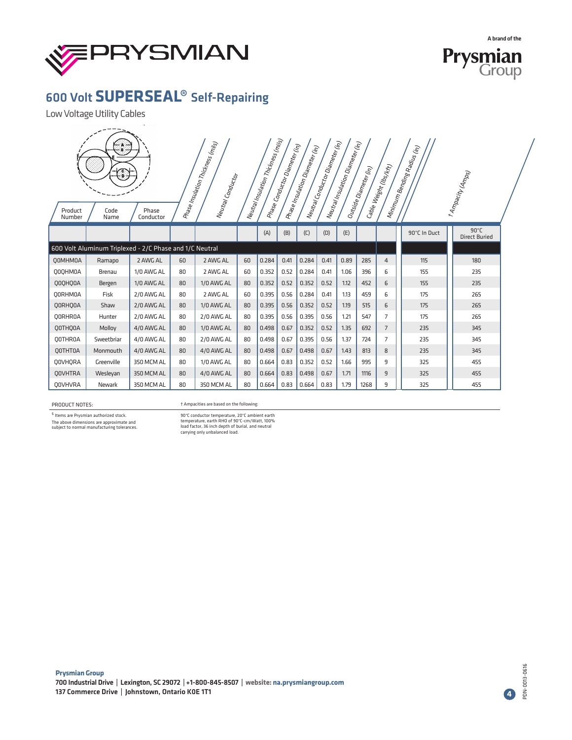



Low Voltage Utility Cables

| Product<br>Number | œ<br>Code<br>Name                                       | Phase<br>Conductor |    | Prase Insulation Thickness (m.lis)<br>Neutral Conductor |    | $\begin{array}{l} \rule{0pt}{3ex} h_{8t} r_{6d} \end{array} \begin{array}{l} \rule{0pt}{3ex} h_{8t} r_{6d} \end{array} \begin{array}{l} \rule{0pt}{3ex} \rule{0pt}{3ex} \rule{0pt}{3ex} \rule{0pt}{3ex} \rule{0pt}{3ex} \rule{0pt}{3ex} \rule{0pt}{3ex} \rule{0pt}{3ex} \rule{0pt}{3ex} \end{array} \begin{array}{l} \rule{0pt}{3ex} h_{8t} r_{6d} \end{array} \begin{array}{l} \rule{0pt}{3ex} \rule{0pt}{3ex} \rule{0pt}{3ex}$ | Mase Conductor Diameter (h) | Prase Insulation Diameter (in) | $ $ Neutral Conductor Diameter (i.e) | Neutral Insulation Diameter (in)<br> | Outside Diameter (in)<br> | <sup>Ca</sup> ble Weight (lbs <sub>/Kft)</sub><br> | Minimum Bending Radius (in) | * Ampacity (Amps)                      |  |
|-------------------|---------------------------------------------------------|--------------------|----|---------------------------------------------------------|----|----------------------------------------------------------------------------------------------------------------------------------------------------------------------------------------------------------------------------------------------------------------------------------------------------------------------------------------------------------------------------------------------------------------------------------|-----------------------------|--------------------------------|--------------------------------------|--------------------------------------|---------------------------|----------------------------------------------------|-----------------------------|----------------------------------------|--|
|                   |                                                         |                    |    |                                                         |    | (A)                                                                                                                                                                                                                                                                                                                                                                                                                              | (B)                         | (C)                            | (D)                                  | (E)                                  |                           |                                                    | 90°C In Duct                | $90^{\circ}$ C<br><b>Direct Buried</b> |  |
|                   | 600 Volt Aluminum Triplexed - 2/C Phase and 1/C Neutral |                    |    |                                                         |    |                                                                                                                                                                                                                                                                                                                                                                                                                                  |                             |                                |                                      |                                      |                           |                                                    |                             |                                        |  |
| <b>Q0MHM0A</b>    | Ramapo                                                  | 2 AWG AL           | 60 | 2 AWG AL                                                | 60 | 0.284                                                                                                                                                                                                                                                                                                                                                                                                                            | 0.41                        | 0.284                          | 0.41                                 | 0.89                                 | 285                       | $\overline{4}$                                     | 115                         | 180                                    |  |
| Q0QHM0A           | <b>Brenau</b>                                           | 1/0 AWG AL         | 80 | 2 AWG AL                                                | 60 | 0.352                                                                                                                                                                                                                                                                                                                                                                                                                            | 0.52                        | 0.284                          | 0.41                                 | 1.06                                 | 396                       | 6                                                  | 155                         | 235                                    |  |
| QOQHQOA           | Bergen                                                  | 1/0 AWG AL         | 80 | 1/0 AWG AL                                              | 80 | 0.352                                                                                                                                                                                                                                                                                                                                                                                                                            | 0.52                        | 0.352                          | 0.52                                 | 1.12                                 | 452                       | 6                                                  | 155                         | 235                                    |  |
| <b>QORHMOA</b>    | Fisk                                                    | 2/0 AWG AL         | 80 | 2 AWG AL                                                | 60 | 0.395                                                                                                                                                                                                                                                                                                                                                                                                                            | 0.56                        | 0.284                          | 0.41                                 | 1.13                                 | 459                       | 6                                                  | 175                         | 265                                    |  |
| <b>QORHOOA</b>    | Shaw                                                    | 2/0 AWG AL         | 80 | 1/0 AWG AL                                              | 80 | 0.395                                                                                                                                                                                                                                                                                                                                                                                                                            | 0.56                        | 0.352                          | 0.52                                 | 1.19                                 | 515                       | 6                                                  | 175                         | 265                                    |  |
| <b>QORHROA</b>    | Hunter                                                  | 2/0 AWG AL         | 80 | 2/0 AWG AL                                              | 80 | 0.395                                                                                                                                                                                                                                                                                                                                                                                                                            | 0.56                        | 0.395                          | 0.56                                 | 1.21                                 | 547                       | 7                                                  | 175                         | 265                                    |  |
| QOTHQOA           | Molloy                                                  | 4/0 AWG AL         | 80 | 1/0 AWG AL                                              | 80 | 0.498                                                                                                                                                                                                                                                                                                                                                                                                                            | 0.67                        | 0.352                          | 0.52                                 | 1.35                                 | 692                       | $\overline{7}$                                     | 235                         | 345                                    |  |
| <b>QOTHROA</b>    | Sweetbriar                                              | 4/0 AWG AL         | 80 | 2/0 AWG AL                                              | 80 | 0.498                                                                                                                                                                                                                                                                                                                                                                                                                            | 0.67                        | 0.395                          | 0.56                                 | 1.37                                 | 724                       | $\overline{7}$                                     | 235                         | 345                                    |  |
| <b>QOTHTOA</b>    | Monmouth                                                | 4/0 AWG AL         | 80 | 4/0 AWG AL                                              | 80 | 0.498                                                                                                                                                                                                                                                                                                                                                                                                                            | 0.67                        | 0.498                          | 0.67                                 | 1.43                                 | 813                       | 8                                                  | 235                         | 345                                    |  |
| <b>QOVHORA</b>    | Greenville                                              | 350 MCM AL         | 80 | 1/0 AWG AL                                              | 80 | 0.664                                                                                                                                                                                                                                                                                                                                                                                                                            | 0.83                        | 0.352                          | 0.52                                 | 1.66                                 | 995                       | 9                                                  | 325                         | 455                                    |  |
| <b>QOVHTRA</b>    | Wesleyan                                                | 350 MCM AL         | 80 | 4/0 AWG AL                                              | 80 | 0.664                                                                                                                                                                                                                                                                                                                                                                                                                            | 0.83                        | 0.498                          | 0.67                                 | 1.71                                 | 1116                      | 9                                                  | 325                         | 455                                    |  |
| <b>QOVHVRA</b>    | Newark                                                  | 350 MCM AL         | 80 | 350 MCM AL                                              | 80 | 0.664                                                                                                                                                                                                                                                                                                                                                                                                                            | 0.83                        | 0.664                          | 0.83                                 | 1.79                                 | 1268                      | 9                                                  | 325                         | 455                                    |  |

#### PRODUCT NOTES:

† Ampacities are based on the following:

s<br>Items are Prysmian authorized stock.

The above dimensions are approximate and subject to normal manufacturing tolerances.

90°C conductor temperature, 20°C ambient earth temperature, earth RHO of 90°C-cm/Watt, 100% load factor, 36 inch depth of burial, and neutral carrying only unbalanced load.

PDN-0013-0616